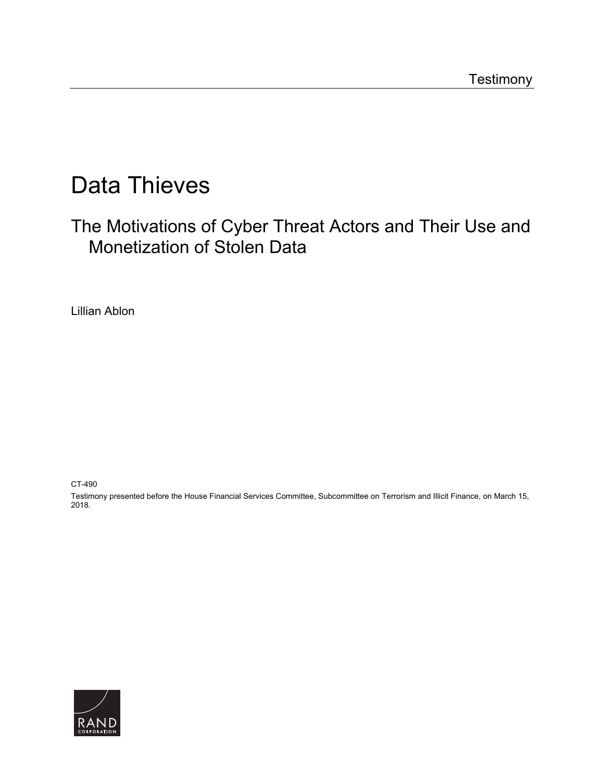# Data Thieves

The Motivations of Cyber Threat Actors and Their Use and Monetization of Stolen Data

Lillian Ablon

CT-490

Testimony presented before the House Financial Services Committee, Subcommittee on Terrorism and Illicit Finance, on March 15, 2018.

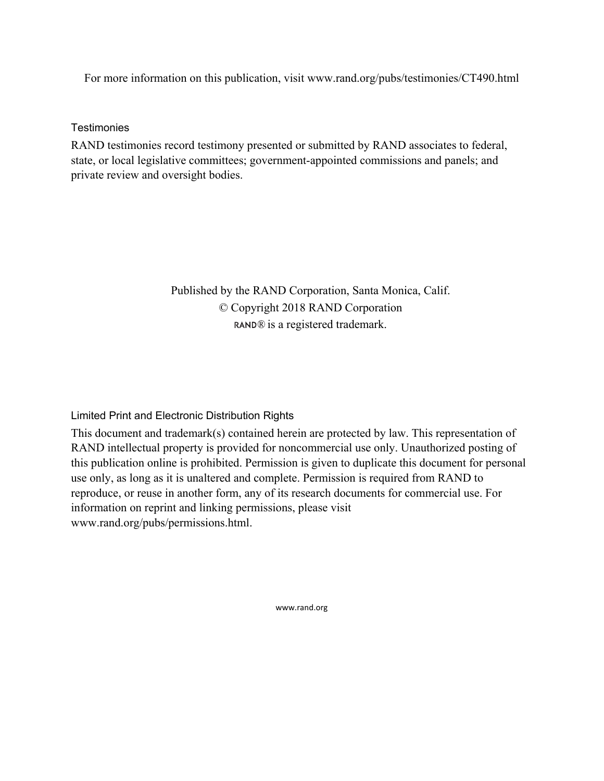For more information on this publication, visit www.rand.org/pubs/testimonies/CT490.html

**Testimonies** 

RAND testimonies record testimony presented or submitted by RAND associates to federal, state, or local legislative committees; government-appointed commissions and panels; and private review and oversight bodies.

> Published by the RAND Corporation, Santa Monica, Calif. © Copyright 2018 RAND Corporation RAND<sup>®</sup> is a registered trademark.

Limited Print and Electronic Distribution Rights

This document and trademark(s) contained herein are protected by law. This representation of RAND intellectual property is provided for noncommercial use only. Unauthorized posting of this publication online is prohibited. Permission is given to duplicate this document for personal use only, as long as it is unaltered and complete. Permission is required from RAND to reproduce, or reuse in another form, any of its research documents for commercial use. For information on reprint and linking permissions, please visit www.rand.org/pubs/permissions.html.

www.rand.org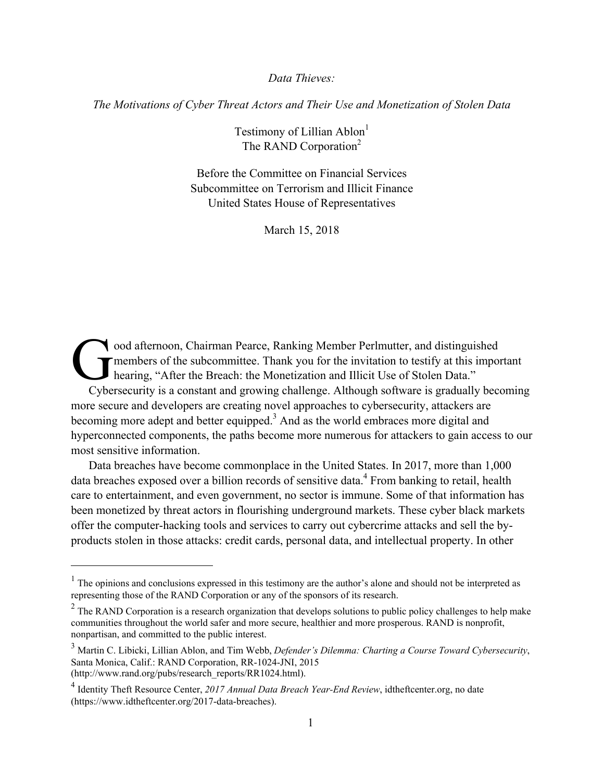*Data Thieves:* 

*The Motivations of Cyber Threat Actors and Their Use and Monetization of Stolen Data* 

Testimony of Lillian Ablon<sup>1</sup> The RAND Corporation<sup>2</sup>

Before the Committee on Financial Services Subcommittee on Terrorism and Illicit Finance United States House of Representatives

March 15, 2018

ood afternoon, Chairman Pearce, Ranking Member Perlmutter, and distinguished members of the subcommittee. Thank you for the invitation to testify at this important hearing, "After the Breach: the Monetization and Illicit Use of Stolen Data." Cybersecurity is a constant and growing challenge. Although software is gradually becoming more secure and developers are creating novel approaches to cybersecurity, attackers are becoming more adept and better equipped.<sup>3</sup> And as the world embraces more digital and hyperconnected components, the paths become more numerous for attackers to gain access to our most sensitive information.  $\int_{\text{thez}}^{\text{oo}}$ 

Data breaches have become commonplace in the United States. In 2017, more than 1,000 data breaches exposed over a billion records of sensitive data.<sup>4</sup> From banking to retail, health care to entertainment, and even government, no sector is immune. Some of that information has been monetized by threat actors in flourishing underground markets. These cyber black markets offer the computer-hacking tools and services to carry out cybercrime attacks and sell the byproducts stolen in those attacks: credit cards, personal data, and intellectual property. In other

 $<sup>1</sup>$  The opinions and conclusions expressed in this testimony are the author's alone and should not be interpreted as</sup> representing those of the RAND Corporation or any of the sponsors of its research.

<sup>&</sup>lt;sup>2</sup> The RAND Corporation is a research organization that develops solutions to public policy challenges to help make communities throughout the world safer and more secure, healthier and more prosperous. RAND is nonprofit, nonpartisan, and committed to the public interest.

<sup>3</sup> Martin C. Libicki, Lillian Ablon, and Tim Webb, *Defender's Dilemma: Charting a Course Toward Cybersecurity*, Santa Monica, Calif.: RAND Corporation, RR-1024-JNI, 2015 (http://www.rand.org/pubs/research\_reports/RR1024.html).

<sup>4</sup> Identity Theft Resource Center, *2017 Annual Data Breach Year-End Review*, idtheftcenter.org, no date (https://www.idtheftcenter.org/2017-data-breaches).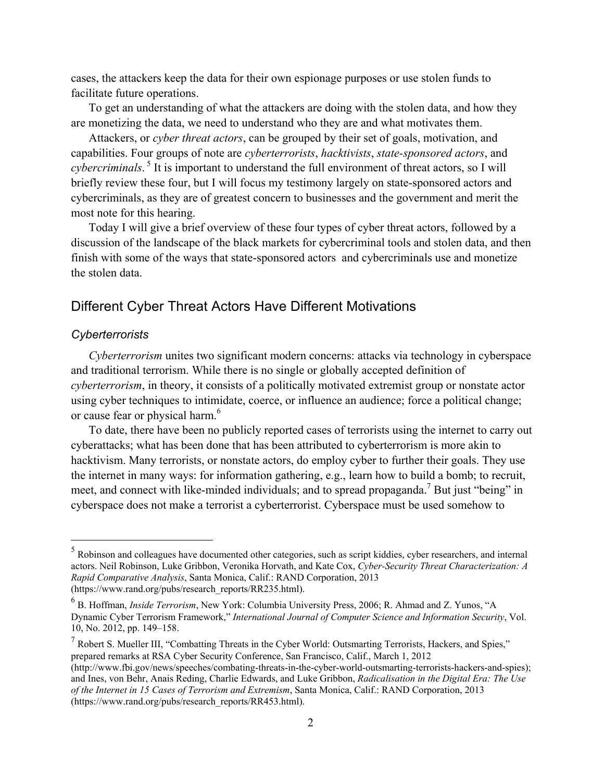cases, the attackers keep the data for their own espionage purposes or use stolen funds to facilitate future operations.

To get an understanding of what the attackers are doing with the stolen data, and how they are monetizing the data, we need to understand who they are and what motivates them.

Attackers, or *cyber threat actors*, can be grouped by their set of goals, motivation, and capabilities. Four groups of note are *cyberterrorists*, *hacktivists*, *state-sponsored actors*, and *cybercriminals*. 5 It is important to understand the full environment of threat actors, so I will briefly review these four, but I will focus my testimony largely on state-sponsored actors and cybercriminals, as they are of greatest concern to businesses and the government and merit the most note for this hearing.

Today I will give a brief overview of these four types of cyber threat actors, followed by a discussion of the landscape of the black markets for cybercriminal tools and stolen data, and then finish with some of the ways that state-sponsored actors and cybercriminals use and monetize the stolen data.

# Different Cyber Threat Actors Have Different Motivations

#### *Cyberterrorists*

 $\overline{a}$ 

*Cyberterrorism* unites two significant modern concerns: attacks via technology in cyberspace and traditional terrorism. While there is no single or globally accepted definition of *cyberterrorism*, in theory, it consists of a politically motivated extremist group or nonstate actor using cyber techniques to intimidate, coerce, or influence an audience; force a political change; or cause fear or physical harm.<sup>6</sup>

To date, there have been no publicly reported cases of terrorists using the internet to carry out cyberattacks; what has been done that has been attributed to cyberterrorism is more akin to hacktivism. Many terrorists, or nonstate actors, do employ cyber to further their goals. They use the internet in many ways: for information gathering, e.g., learn how to build a bomb; to recruit, meet, and connect with like-minded individuals; and to spread propaganda.<sup>7</sup> But just "being" in cyberspace does not make a terrorist a cyberterrorist. Cyberspace must be used somehow to

<sup>&</sup>lt;sup>5</sup> Robinson and colleagues have documented other categories, such as script kiddies, cyber researchers, and internal actors. Neil Robinson, Luke Gribbon, Veronika Horvath, and Kate Cox, *Cyber-Security Threat Characterization: A Rapid Comparative Analysis*, Santa Monica, Calif.: RAND Corporation, 2013 (https://www.rand.org/pubs/research\_reports/RR235.html).

<sup>6</sup> B. Hoffman, *Inside Terrorism*, New York: Columbia University Press, 2006; R. Ahmad and Z. Yunos, "A Dynamic Cyber Terrorism Framework," *International Journal of Computer Science and Information Security*, Vol. 10, No. 2012, pp. 149–158.

<sup>&</sup>lt;sup>7</sup> Robert S. Mueller III, "Combatting Threats in the Cyber World: Outsmarting Terrorists, Hackers, and Spies," prepared remarks at RSA Cyber Security Conference, San Francisco, Calif., March 1, 2012 (http://www.fbi.gov/news/speeches/combating-threats-in-the-cyber-world-outsmarting-terrorists-hackers-and-spies); and Ines, von Behr, Anais Reding, Charlie Edwards, and Luke Gribbon, *Radicalisation in the Digital Era: The Use of the Internet in 15 Cases of Terrorism and Extremism*, Santa Monica, Calif.: RAND Corporation, 2013 (https://www.rand.org/pubs/research\_reports/RR453.html).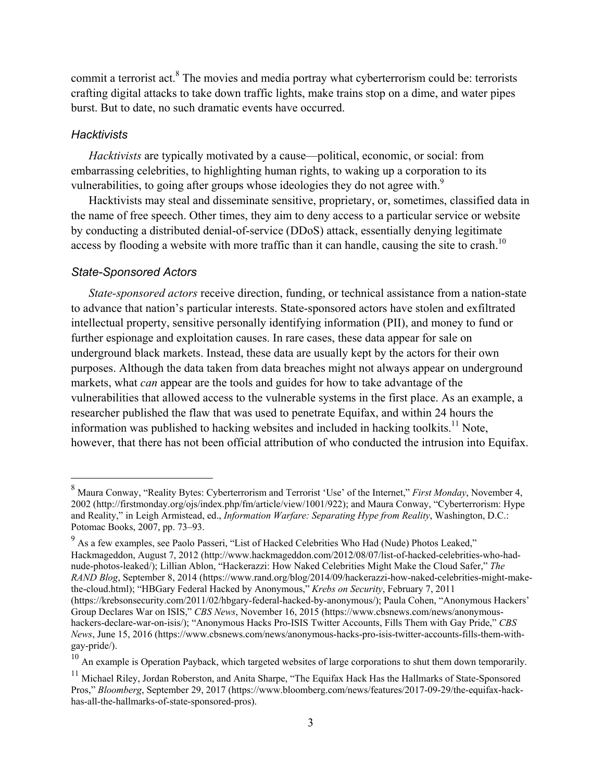commit a terrorist act.<sup>8</sup> The movies and media portray what cyberterrorism could be: terrorists crafting digital attacks to take down traffic lights, make trains stop on a dime, and water pipes burst. But to date, no such dramatic events have occurred.

#### *Hacktivists*

 $\overline{a}$ 

*Hacktivists* are typically motivated by a cause—political, economic, or social: from embarrassing celebrities, to highlighting human rights, to waking up a corporation to its vulnerabilities, to going after groups whose ideologies they do not agree with.<sup>9</sup>

Hacktivists may steal and disseminate sensitive, proprietary, or, sometimes, classified data in the name of free speech. Other times, they aim to deny access to a particular service or website by conducting a distributed denial-of-service (DDoS) attack, essentially denying legitimate access by flooding a website with more traffic than it can handle, causing the site to crash.<sup>10</sup>

#### *State-Sponsored Actors*

*State-sponsored actors* receive direction, funding, or technical assistance from a nation-state to advance that nation's particular interests. State-sponsored actors have stolen and exfiltrated intellectual property, sensitive personally identifying information (PII), and money to fund or further espionage and exploitation causes. In rare cases, these data appear for sale on underground black markets. Instead, these data are usually kept by the actors for their own purposes. Although the data taken from data breaches might not always appear on underground markets, what *can* appear are the tools and guides for how to take advantage of the vulnerabilities that allowed access to the vulnerable systems in the first place. As an example, a researcher published the flaw that was used to penetrate Equifax, and within 24 hours the information was published to hacking websites and included in hacking toolkits.<sup>11</sup> Note, however, that there has not been official attribution of who conducted the intrusion into Equifax.

<sup>10</sup> An example is Operation Payback, which targeted websites of large corporations to shut them down temporarily.

<sup>8</sup> Maura Conway, "Reality Bytes: Cyberterrorism and Terrorist 'Use' of the Internet," *First Monday*, November 4, 2002 (http://firstmonday.org/ojs/index.php/fm/article/view/1001/922); and Maura Conway, "Cyberterrorism: Hype and Reality," in Leigh Armistead, ed., *Information Warfare: Separating Hype from Reality*, Washington, D.C.: Potomac Books, 2007, pp. 73–93.

 $9<sup>9</sup>$  As a few examples, see Paolo Passeri, "List of Hacked Celebrities Who Had (Nude) Photos Leaked," Hackmageddon, August 7, 2012 (http://www.hackmageddon.com/2012/08/07/list-of-hacked-celebrities-who-hadnude-photos-leaked/); Lillian Ablon, "Hackerazzi: How Naked Celebrities Might Make the Cloud Safer," *The RAND Blog*, September 8, 2014 (https://www.rand.org/blog/2014/09/hackerazzi-how-naked-celebrities-might-makethe-cloud.html); "HBGary Federal Hacked by Anonymous," *Krebs on Security*, February 7, 2011 (https://krebsonsecurity.com/2011/02/hbgary-federal-hacked-by-anonymous/); Paula Cohen, "Anonymous Hackers' Group Declares War on ISIS," *CBS News*, November 16, 2015 (https://www.cbsnews.com/news/anonymoushackers-declare-war-on-isis/); "Anonymous Hacks Pro-ISIS Twitter Accounts, Fills Them with Gay Pride," *CBS News*, June 15, 2016 (https://www.cbsnews.com/news/anonymous-hacks-pro-isis-twitter-accounts-fills-them-withgay-pride/).

<sup>&</sup>lt;sup>11</sup> Michael Riley, Jordan Roberston, and Anita Sharpe, "The Equifax Hack Has the Hallmarks of State-Sponsored Pros," *Bloomberg*, September 29, 2017 (https://www.bloomberg.com/news/features/2017-09-29/the-equifax-hackhas-all-the-hallmarks-of-state-sponsored-pros).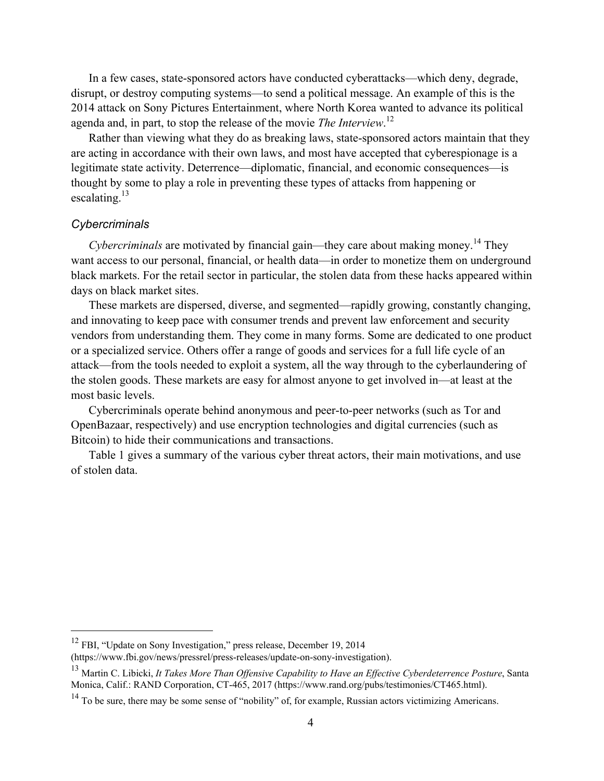In a few cases, state-sponsored actors have conducted cyberattacks—which deny, degrade, disrupt, or destroy computing systems—to send a political message. An example of this is the 2014 attack on Sony Pictures Entertainment, where North Korea wanted to advance its political agenda and, in part, to stop the release of the movie *The Interview*. 12

Rather than viewing what they do as breaking laws, state-sponsored actors maintain that they are acting in accordance with their own laws, and most have accepted that cyberespionage is a legitimate state activity. Deterrence—diplomatic, financial, and economic consequences—is thought by some to play a role in preventing these types of attacks from happening or escalating. $^{13}$ 

## *Cybercriminals*

 $\overline{a}$ 

*Cybercriminals* are motivated by financial gain—they care about making money.<sup>14</sup> They want access to our personal, financial, or health data—in order to monetize them on underground black markets. For the retail sector in particular, the stolen data from these hacks appeared within days on black market sites.

These markets are dispersed, diverse, and segmented—rapidly growing, constantly changing, and innovating to keep pace with consumer trends and prevent law enforcement and security vendors from understanding them. They come in many forms. Some are dedicated to one product or a specialized service. Others offer a range of goods and services for a full life cycle of an attack—from the tools needed to exploit a system, all the way through to the cyberlaundering of the stolen goods. These markets are easy for almost anyone to get involved in—at least at the most basic levels.

Cybercriminals operate behind anonymous and peer-to-peer networks (such as Tor and OpenBazaar, respectively) and use encryption technologies and digital currencies (such as Bitcoin) to hide their communications and transactions.

Table 1 gives a summary of the various cyber threat actors, their main motivations, and use of stolen data.

 $12$  FBI, "Update on Sony Investigation," press release, December 19, 2014

<sup>(</sup>https://www.fbi.gov/news/pressrel/press-releases/update-on-sony-investigation).

<sup>&</sup>lt;sup>13</sup> Martin C. Libicki, *It Takes More Than Offensive Capability to Have an Effective Cyberdeterrence Posture*, Santa Monica, Calif.: RAND Corporation, CT-465, 2017 (https://www.rand.org/pubs/testimonies/CT465.html).

 $14$  To be sure, there may be some sense of "nobility" of, for example, Russian actors victimizing Americans.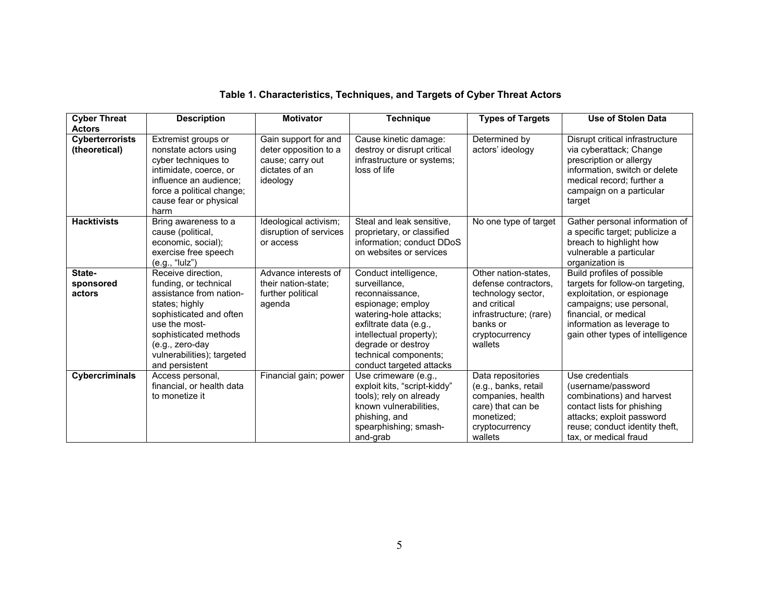| Table 1. Characteristics, Techniques, and Targets of Cyber Threat Actors |  |  |  |
|--------------------------------------------------------------------------|--|--|--|
|--------------------------------------------------------------------------|--|--|--|

| <b>Cyber Threat</b>                     | <b>Description</b>                                                                                                                                                                                                               | <b>Motivator</b>                                                                                | Technique                                                                                                                                                                                                                                | <b>Types of Targets</b>                                                                                                                               | <b>Use of Stolen Data</b>                                                                                                                                                                                           |
|-----------------------------------------|----------------------------------------------------------------------------------------------------------------------------------------------------------------------------------------------------------------------------------|-------------------------------------------------------------------------------------------------|------------------------------------------------------------------------------------------------------------------------------------------------------------------------------------------------------------------------------------------|-------------------------------------------------------------------------------------------------------------------------------------------------------|---------------------------------------------------------------------------------------------------------------------------------------------------------------------------------------------------------------------|
| <b>Actors</b>                           |                                                                                                                                                                                                                                  |                                                                                                 |                                                                                                                                                                                                                                          |                                                                                                                                                       |                                                                                                                                                                                                                     |
| <b>Cyberterrorists</b><br>(theoretical) | Extremist groups or<br>nonstate actors using<br>cyber techniques to<br>intimidate, coerce, or<br>influence an audience:<br>force a political change;<br>cause fear or physical<br>harm                                           | Gain support for and<br>deter opposition to a<br>cause; carry out<br>dictates of an<br>ideology | Cause kinetic damage:<br>destroy or disrupt critical<br>infrastructure or systems;<br>loss of life                                                                                                                                       | Determined by<br>actors' ideology                                                                                                                     | Disrupt critical infrastructure<br>via cyberattack; Change<br>prescription or allergy<br>information, switch or delete<br>medical record; further a<br>campaign on a particular<br>target                           |
| <b>Hacktivists</b>                      | Bring awareness to a<br>cause (political,<br>economic, social);<br>exercise free speech<br>(e.g., "lulz")                                                                                                                        | Ideological activism;<br>disruption of services<br>or access                                    | Steal and leak sensitive,<br>proprietary, or classified<br>information; conduct DDoS<br>on websites or services                                                                                                                          | No one type of target                                                                                                                                 | Gather personal information of<br>a specific target; publicize a<br>breach to highlight how<br>vulnerable a particular<br>organization is                                                                           |
| State-<br>sponsored<br>actors           | Receive direction.<br>funding, or technical<br>assistance from nation-<br>states; highly<br>sophisticated and often<br>use the most-<br>sophisticated methods<br>(e.g., zero-day<br>vulnerabilities); targeted<br>and persistent | Advance interests of<br>their nation-state:<br>further political<br>agenda                      | Conduct intelligence,<br>surveillance.<br>reconnaissance,<br>espionage; employ<br>watering-hole attacks;<br>exfiltrate data (e.g.,<br>intellectual property);<br>degrade or destroy<br>technical components;<br>conduct targeted attacks | Other nation-states,<br>defense contractors.<br>technology sector,<br>and critical<br>infrastructure; (rare)<br>banks or<br>cryptocurrency<br>wallets | Build profiles of possible<br>targets for follow-on targeting,<br>exploitation, or espionage<br>campaigns; use personal,<br>financial, or medical<br>information as leverage to<br>gain other types of intelligence |
| Cybercriminals                          | Access personal,<br>financial, or health data<br>to monetize it                                                                                                                                                                  | Financial gain; power                                                                           | Use crimeware (e.g.,<br>exploit kits, "script-kiddy"<br>tools); rely on already<br>known vulnerabilities.<br>phishing, and<br>spearphishing; smash-<br>and-grab                                                                          | Data repositories<br>(e.g., banks, retail<br>companies, health<br>care) that can be<br>monetized;<br>cryptocurrency<br>wallets                        | Use credentials<br>(username/password<br>combinations) and harvest<br>contact lists for phishing<br>attacks; exploit password<br>reuse; conduct identity theft,<br>tax, or medical fraud                            |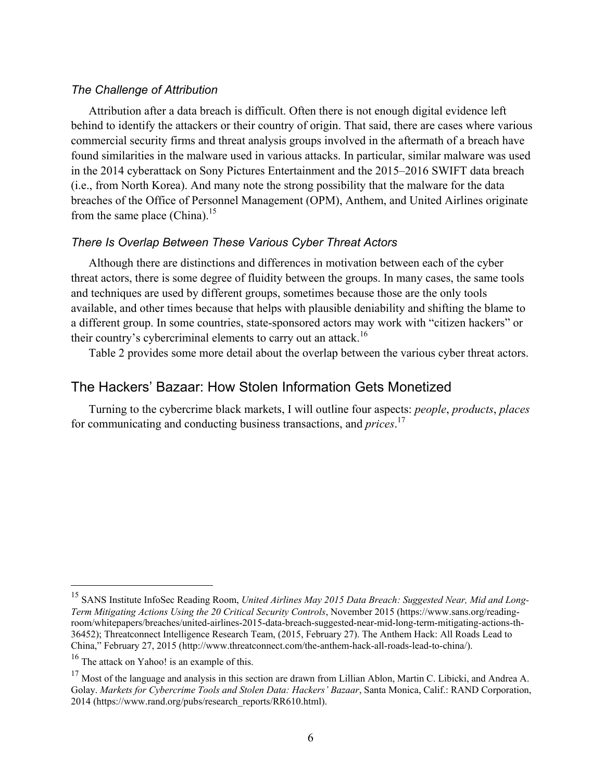## *The Challenge of Attribution*

Attribution after a data breach is difficult. Often there is not enough digital evidence left behind to identify the attackers or their country of origin. That said, there are cases where various commercial security firms and threat analysis groups involved in the aftermath of a breach have found similarities in the malware used in various attacks. In particular, similar malware was used in the 2014 cyberattack on Sony Pictures Entertainment and the 2015–2016 SWIFT data breach (i.e., from North Korea). And many note the strong possibility that the malware for the data breaches of the Office of Personnel Management (OPM), Anthem, and United Airlines originate from the same place (China).<sup>15</sup>

## *There Is Overlap Between These Various Cyber Threat Actors*

Although there are distinctions and differences in motivation between each of the cyber threat actors, there is some degree of fluidity between the groups. In many cases, the same tools and techniques are used by different groups, sometimes because those are the only tools available, and other times because that helps with plausible deniability and shifting the blame to a different group. In some countries, state-sponsored actors may work with "citizen hackers" or their country's cybercriminal elements to carry out an attack.<sup>16</sup>

Table 2 provides some more detail about the overlap between the various cyber threat actors.

# The Hackers' Bazaar: How Stolen Information Gets Monetized

Turning to the cybercrime black markets, I will outline four aspects: *people*, *products*, *places* for communicating and conducting business transactions, and *prices*. 17

<sup>15</sup> SANS Institute InfoSec Reading Room, *United Airlines May 2015 Data Breach: Suggested Near, Mid and Long-Term Mitigating Actions Using the 20 Critical Security Controls*, November 2015 (https://www.sans.org/readingroom/whitepapers/breaches/united-airlines-2015-data-breach-suggested-near-mid-long-term-mitigating-actions-th-36452); Threatconnect Intelligence Research Team, (2015, February 27). The Anthem Hack: All Roads Lead to China," February 27, 2015 (http://www.threatconnect.com/the-anthem-hack-all-roads-lead-to-china/).

<sup>&</sup>lt;sup>16</sup> The attack on Yahoo! is an example of this.

<sup>&</sup>lt;sup>17</sup> Most of the language and analysis in this section are drawn from Lillian Ablon, Martin C. Libicki, and Andrea A. Golay. *Markets for Cybercrime Tools and Stolen Data: Hackers' Bazaar*, Santa Monica, Calif.: RAND Corporation, 2014 (https://www.rand.org/pubs/research\_reports/RR610.html).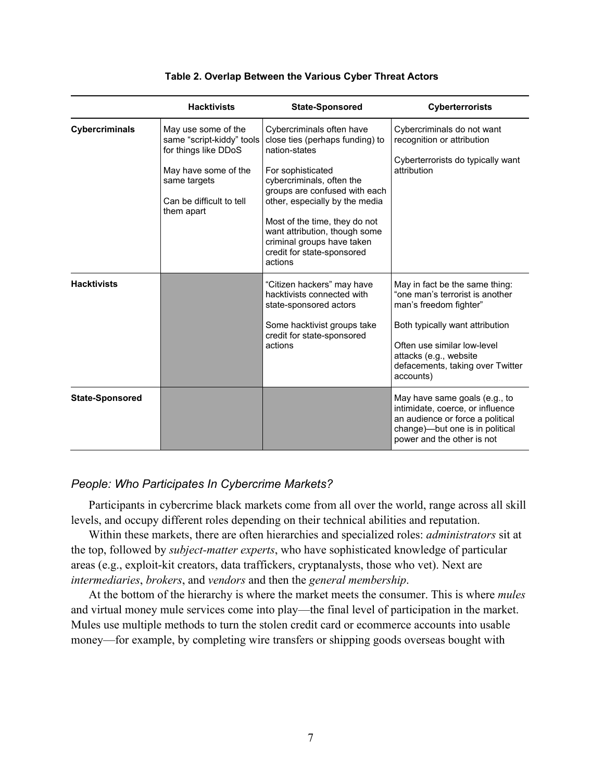|                        | <b>Hacktivists</b>                                                                                                                                         | <b>State-Sponsored</b>                                                                                                                                                                                                                                                                                                                      | <b>Cyberterrorists</b>                                                                                                                                                                                                                   |
|------------------------|------------------------------------------------------------------------------------------------------------------------------------------------------------|---------------------------------------------------------------------------------------------------------------------------------------------------------------------------------------------------------------------------------------------------------------------------------------------------------------------------------------------|------------------------------------------------------------------------------------------------------------------------------------------------------------------------------------------------------------------------------------------|
| Cybercriminals         | May use some of the<br>same "script-kiddy" tools<br>for things like DDoS<br>May have some of the<br>same targets<br>Can be difficult to tell<br>them apart | Cybercriminals often have<br>close ties (perhaps funding) to<br>nation-states<br>For sophisticated<br>cybercriminals, often the<br>groups are confused with each<br>other, especially by the media<br>Most of the time, they do not<br>want attribution, though some<br>criminal groups have taken<br>credit for state-sponsored<br>actions | Cybercriminals do not want<br>recognition or attribution<br>Cyberterrorists do typically want<br>attribution                                                                                                                             |
| <b>Hacktivists</b>     |                                                                                                                                                            | "Citizen hackers" may have<br>hacktivists connected with<br>state-sponsored actors<br>Some hacktivist groups take<br>credit for state-sponsored<br>actions                                                                                                                                                                                  | May in fact be the same thing:<br>"one man's terrorist is another<br>man's freedom fighter"<br>Both typically want attribution<br>Often use similar low-level<br>attacks (e.g., website<br>defacements, taking over Twitter<br>accounts) |
| <b>State-Sponsored</b> |                                                                                                                                                            |                                                                                                                                                                                                                                                                                                                                             | May have same goals (e.g., to<br>intimidate, coerce, or influence<br>an audience or force a political<br>change)-but one is in political<br>power and the other is not                                                                   |

#### **Table 2. Overlap Between the Various Cyber Threat Actors**

# *People: Who Participates In Cybercrime Markets?*

Participants in cybercrime black markets come from all over the world, range across all skill levels, and occupy different roles depending on their technical abilities and reputation.

Within these markets, there are often hierarchies and specialized roles: *administrators* sit at the top, followed by *subject-matter experts*, who have sophisticated knowledge of particular areas (e.g., exploit-kit creators, data traffickers, cryptanalysts, those who vet). Next are *intermediaries*, *brokers*, and *vendors* and then the *general membership*.

At the bottom of the hierarchy is where the market meets the consumer. This is where *mules*  and virtual money mule services come into play—the final level of participation in the market. Mules use multiple methods to turn the stolen credit card or ecommerce accounts into usable money—for example, by completing wire transfers or shipping goods overseas bought with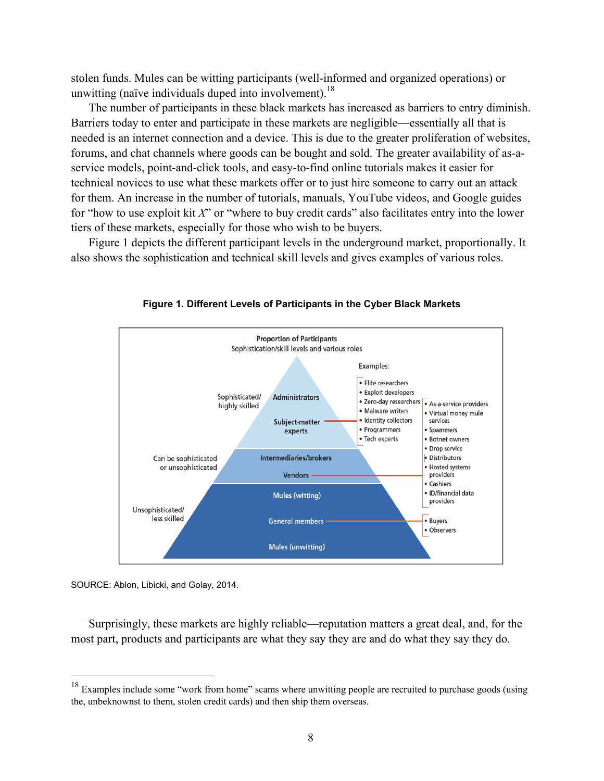stolen funds. Mules can be witting participants (well-informed and organized operations) or unwitting (naïve individuals duped into involvement).<sup>18</sup>

The number of participants in these black markets has increased as barriers to entry diminish. Barriers today to enter and participate in these markets are negligible—essentially all that is needed is an internet connection and a device. This is due to the greater proliferation of websites, forums, and chat channels where goods can be bought and sold. The greater availability of as-aservice models, point-and-click tools, and easy-to-find online tutorials makes it easier for technical novices to use what these markets offer or to just hire someone to carry out an attack for them. An increase in the number of tutorials, manuals, YouTube videos, and Google guides for "how to use exploit kit *X*" or "where to buy credit cards" also facilitates entry into the lower tiers of these markets, especially for those who wish to be buyers.

Figure 1 depicts the different participant levels in the underground market, proportionally. It also shows the sophistication and technical skill levels and gives examples of various roles.



**Figure 1. Different Levels of Participants in the Cyber Black Markets** 

SOURCE: Ablon, Libicki, and Golay, 2014.

 $\overline{a}$ 

Surprisingly, these markets are highly reliable—reputation matters a great deal, and, for the most part, products and participants are what they say they are and do what they say they do.

<sup>&</sup>lt;sup>18</sup> Examples include some "work from home" scams where unwitting people are recruited to purchase goods (using the, unbeknownst to them, stolen credit cards) and then ship them overseas.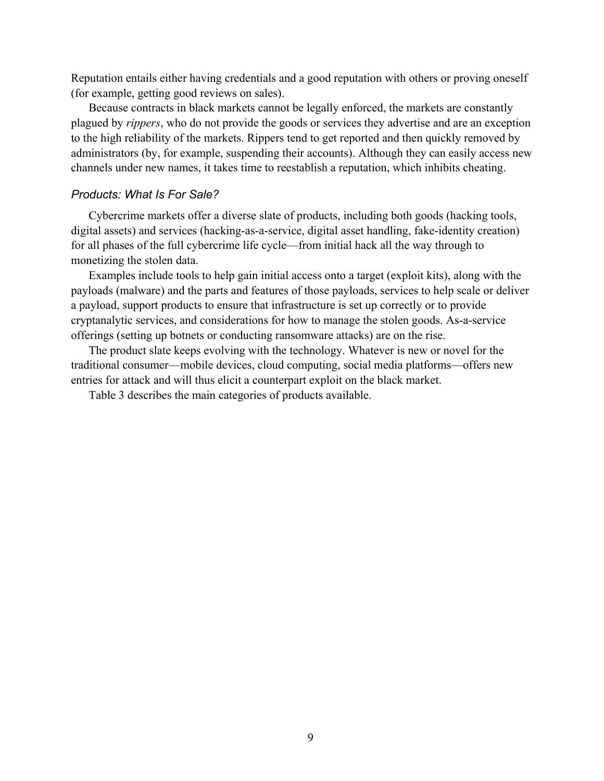Reputation entails either having credentials and a good reputation with others or proving oneself (for example, getting good reviews on sales).

Because contracts in black markets cannot be legally enforced, the markets are constantly plagued by *rippers*, who do not provide the goods or services they advertise and are an exception to the high reliability of the markets. Rippers tend to get reported and then quickly removed by administrators (by, for example, suspending their accounts). Although they can easily access new channels under new names, it takes time to reestablish a reputation, which inhibits cheating.

# *Products: What Is For Sale?*

Cybercrime markets offer a diverse slate of products, including both goods (hacking tools, digital assets) and services (hacking-as-a-service, digital asset handling, fake-identity creation) for all phases of the full cybercrime life cycle—from initial hack all the way through to monetizing the stolen data.

Examples include tools to help gain initial access onto a target (exploit kits), along with the payloads (malware) and the parts and features of those payloads, services to help scale or deliver a payload, support products to ensure that infrastructure is set up correctly or to provide cryptanalytic services, and considerations for how to manage the stolen goods. As-a-service offerings (setting up botnets or conducting ransomware attacks) are on the rise.

The product slate keeps evolving with the technology. Whatever is new or novel for the traditional consumer—mobile devices, cloud computing, social media platforms—offers new entries for attack and will thus elicit a counterpart exploit on the black market.

Table 3 describes the main categories of products available.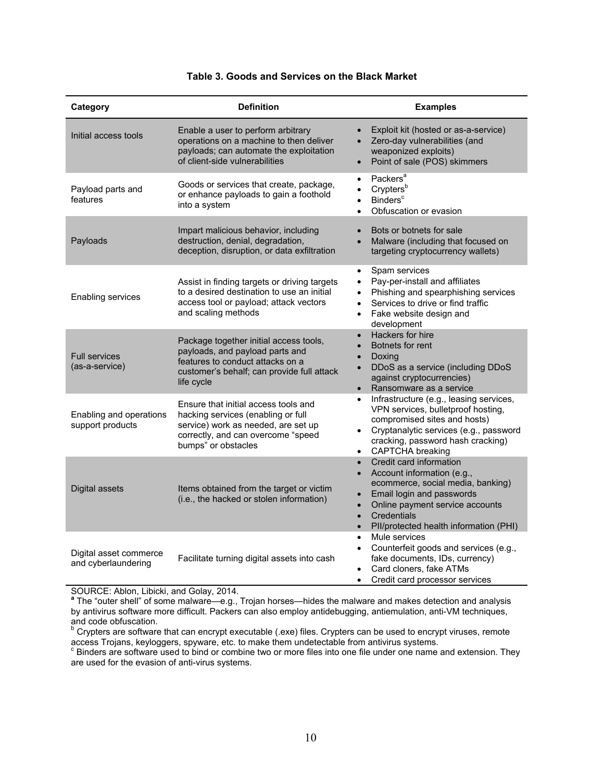| Category                                      | <b>Definition</b>                                                                                                                                                              | <b>Examples</b>                                                                                                                                                                                                                                                                                   |
|-----------------------------------------------|--------------------------------------------------------------------------------------------------------------------------------------------------------------------------------|---------------------------------------------------------------------------------------------------------------------------------------------------------------------------------------------------------------------------------------------------------------------------------------------------|
| Initial access tools                          | Enable a user to perform arbitrary<br>operations on a machine to then deliver<br>payloads; can automate the exploitation<br>of client-side vulnerabilities                     | Exploit kit (hosted or as-a-service)<br>$\bullet$<br>Zero-day vulnerabilities (and<br>$\bullet$<br>weaponized exploits)<br>Point of sale (POS) skimmers<br>$\bullet$                                                                                                                              |
| Payload parts and<br>features                 | Goods or services that create, package,<br>or enhance payloads to gain a foothold<br>into a system                                                                             | Packers <sup>a</sup><br>$\bullet$<br>Crypters <sup>b</sup><br>$\bullet$<br>Binders <sup>c</sup><br>$\bullet$<br>Obfuscation or evasion<br>$\bullet$                                                                                                                                               |
| Payloads                                      | Impart malicious behavior, including<br>destruction, denial, degradation,<br>deception, disruption, or data exfiltration                                                       | Bots or botnets for sale<br>$\bullet$<br>Malware (including that focused on<br>$\bullet$<br>targeting cryptocurrency wallets)                                                                                                                                                                     |
| Enabling services                             | Assist in finding targets or driving targets<br>to a desired destination to use an initial<br>access tool or payload; attack vectors<br>and scaling methods                    | Spam services<br>$\bullet$<br>Pay-per-install and affiliates<br>$\bullet$<br>Phishing and spearphishing services<br>$\bullet$<br>Services to drive or find traffic<br>$\bullet$<br>Fake website design and<br>$\bullet$<br>development                                                            |
| <b>Full services</b><br>(as-a-service)        | Package together initial access tools,<br>payloads, and payload parts and<br>features to conduct attacks on a<br>customer's behalf; can provide full attack<br>life cycle      | Hackers for hire<br>$\bullet$<br>Botnets for rent<br>$\bullet$<br>Doxing<br>$\bullet$<br>DDoS as a service (including DDoS<br>$\bullet$<br>against cryptocurrencies)<br>Ransomware as a service<br>$\bullet$                                                                                      |
| Enabling and operations<br>support products   | Ensure that initial access tools and<br>hacking services (enabling or full<br>service) work as needed, are set up<br>correctly, and can overcome "speed<br>bumps" or obstacles | Infrastructure (e.g., leasing services,<br>$\bullet$<br>VPN services, bulletproof hosting,<br>compromised sites and hosts)<br>Cryptanalytic services (e.g., password<br>$\bullet$<br>cracking, password hash cracking)<br>CAPTCHA breaking<br>$\bullet$                                           |
| Digital assets                                | Items obtained from the target or victim<br>(i.e., the hacked or stolen information)                                                                                           | Credit card information<br>$\bullet$<br>Account information (e.g.,<br>$\bullet$<br>ecommerce, social media, banking)<br>Email login and passwords<br>$\bullet$<br>Online payment service accounts<br>$\bullet$<br>Credentials<br>$\bullet$<br>PII/protected health information (PHI)<br>$\bullet$ |
| Digital asset commerce<br>and cyberlaundering | Facilitate turning digital assets into cash                                                                                                                                    | Mule services<br>$\bullet$<br>Counterfeit goods and services (e.g.,<br>$\bullet$<br>fake documents, IDs, currency)<br>Card cloners, fake ATMs<br>$\bullet$<br>Credit card processor services<br>$\bullet$                                                                                         |

#### **Table 3. Goods and Services on the Black Market**

SOURCE: Ablon, Libicki, and Golay, 2014.

**<sup>a</sup>** The "outer shell" of some malware—e.g., Trojan horses—hides the malware and makes detection and analysis by antivirus software more difficult. Packers can also employ antidebugging, antiemulation, anti-VM techniques, and code obfuscation.

<sup>b</sup> Crypters are software that can encrypt executable (.exe) files. Crypters can be used to encrypt viruses, remote access Trojans, keyloggers, spyware, etc. to make them undetectable from antivirus systems.<br><sup>c</sup> Binders are software used to bind or combine two or more files into one file under one name and extension. They

are used for the evasion of anti-virus systems.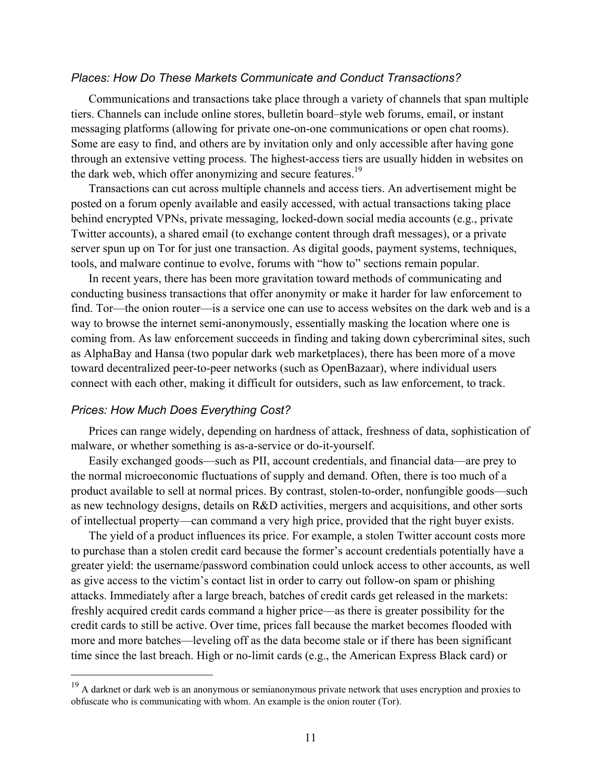## *Places: How Do These Markets Communicate and Conduct Transactions?*

Communications and transactions take place through a variety of channels that span multiple tiers. Channels can include online stores, bulletin board–style web forums, email, or instant messaging platforms (allowing for private one-on-one communications or open chat rooms). Some are easy to find, and others are by invitation only and only accessible after having gone through an extensive vetting process. The highest-access tiers are usually hidden in websites on the dark web, which offer anonymizing and secure features.<sup>19</sup>

Transactions can cut across multiple channels and access tiers. An advertisement might be posted on a forum openly available and easily accessed, with actual transactions taking place behind encrypted VPNs, private messaging, locked-down social media accounts (e.g., private Twitter accounts), a shared email (to exchange content through draft messages), or a private server spun up on Tor for just one transaction. As digital goods, payment systems, techniques, tools, and malware continue to evolve, forums with "how to" sections remain popular.

In recent years, there has been more gravitation toward methods of communicating and conducting business transactions that offer anonymity or make it harder for law enforcement to find. Tor—the onion router—is a service one can use to access websites on the dark web and is a way to browse the internet semi-anonymously, essentially masking the location where one is coming from. As law enforcement succeeds in finding and taking down cybercriminal sites, such as AlphaBay and Hansa (two popular dark web marketplaces), there has been more of a move toward decentralized peer-to-peer networks (such as OpenBazaar), where individual users connect with each other, making it difficult for outsiders, such as law enforcement, to track.

#### *Prices: How Much Does Everything Cost?*

 $\overline{a}$ 

Prices can range widely, depending on hardness of attack, freshness of data, sophistication of malware, or whether something is as-a-service or do-it-yourself.

Easily exchanged goods—such as PII, account credentials, and financial data—are prey to the normal microeconomic fluctuations of supply and demand. Often, there is too much of a product available to sell at normal prices. By contrast, stolen-to-order, nonfungible goods—such as new technology designs, details on R&D activities, mergers and acquisitions, and other sorts of intellectual property—can command a very high price, provided that the right buyer exists.

The yield of a product influences its price. For example, a stolen Twitter account costs more to purchase than a stolen credit card because the former's account credentials potentially have a greater yield: the username/password combination could unlock access to other accounts, as well as give access to the victim's contact list in order to carry out follow-on spam or phishing attacks. Immediately after a large breach, batches of credit cards get released in the markets: freshly acquired credit cards command a higher price—as there is greater possibility for the credit cards to still be active. Over time, prices fall because the market becomes flooded with more and more batches—leveling off as the data become stale or if there has been significant time since the last breach. High or no-limit cards (e.g., the American Express Black card) or

<sup>&</sup>lt;sup>19</sup> A darknet or dark web is an anonymous or semianonymous private network that uses encryption and proxies to obfuscate who is communicating with whom. An example is the onion router (Tor).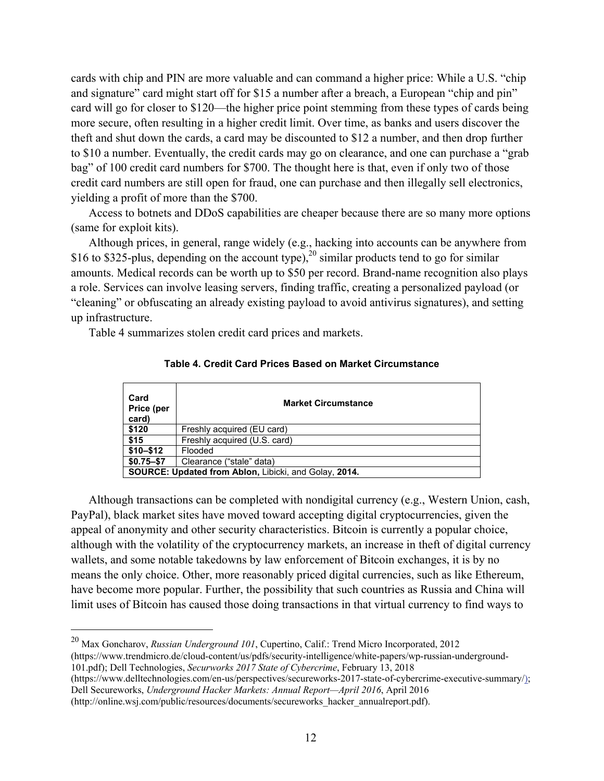cards with chip and PIN are more valuable and can command a higher price: While a U.S. "chip and signature" card might start off for \$15 a number after a breach, a European "chip and pin" card will go for closer to \$120—the higher price point stemming from these types of cards being more secure, often resulting in a higher credit limit. Over time, as banks and users discover the theft and shut down the cards, a card may be discounted to \$12 a number, and then drop further to \$10 a number. Eventually, the credit cards may go on clearance, and one can purchase a "grab bag" of 100 credit card numbers for \$700. The thought here is that, even if only two of those credit card numbers are still open for fraud, one can purchase and then illegally sell electronics, yielding a profit of more than the \$700.

Access to botnets and DDoS capabilities are cheaper because there are so many more options (same for exploit kits).

Although prices, in general, range widely (e.g., hacking into accounts can be anywhere from \$16 to \$325-plus, depending on the account type),<sup>20</sup> similar products tend to go for similar amounts. Medical records can be worth up to \$50 per record. Brand-name recognition also plays a role. Services can involve leasing servers, finding traffic, creating a personalized payload (or "cleaning" or obfuscating an already existing payload to avoid antivirus signatures), and setting up infrastructure.

Table 4 summarizes stolen credit card prices and markets.

| Card<br>Price (per<br>card) | <b>Market Circumstance</b>                                   |
|-----------------------------|--------------------------------------------------------------|
| \$120                       | Freshly acquired (EU card)                                   |
| \$15                        | Freshly acquired (U.S. card)                                 |
| $$10 - $12$                 | Flooded                                                      |
| $$0.75 - $7$                | Clearance ("stale" data)                                     |
|                             | <b>SOURCE: Updated from Ablon, Libicki, and Golay, 2014.</b> |

#### **Table 4. Credit Card Prices Based on Market Circumstance**

Although transactions can be completed with nondigital currency (e.g., Western Union, cash, PayPal), black market sites have moved toward accepting digital cryptocurrencies, given the appeal of anonymity and other security characteristics. Bitcoin is currently a popular choice, although with the volatility of the cryptocurrency markets, an increase in theft of digital currency wallets, and some notable takedowns by law enforcement of Bitcoin exchanges, it is by no means the only choice. Other, more reasonably priced digital currencies, such as like Ethereum, have become more popular. Further, the possibility that such countries as Russia and China will limit uses of Bitcoin has caused those doing transactions in that virtual currency to find ways to

20 Max Goncharov, *Russian Underground 101*, Cupertino, Calif.: Trend Micro Incorporated, 2012 (https://www.trendmicro.de/cloud-content/us/pdfs/security-intelligence/white-papers/wp-russian-underground-101.pdf); Dell Technologies, *Securworks 2017 State of Cybercrime*, February 13, 2018

- (https://www.delltechnologies.com/en-us/perspectives/secureworks-2017-state-of-cybercrime-executive-summary/); Dell Secureworks, *Underground Hacker Markets: Annual Report—April 2016*, April 2016
- (http://online.wsj.com/public/resources/documents/secureworks\_hacker\_annualreport.pdf).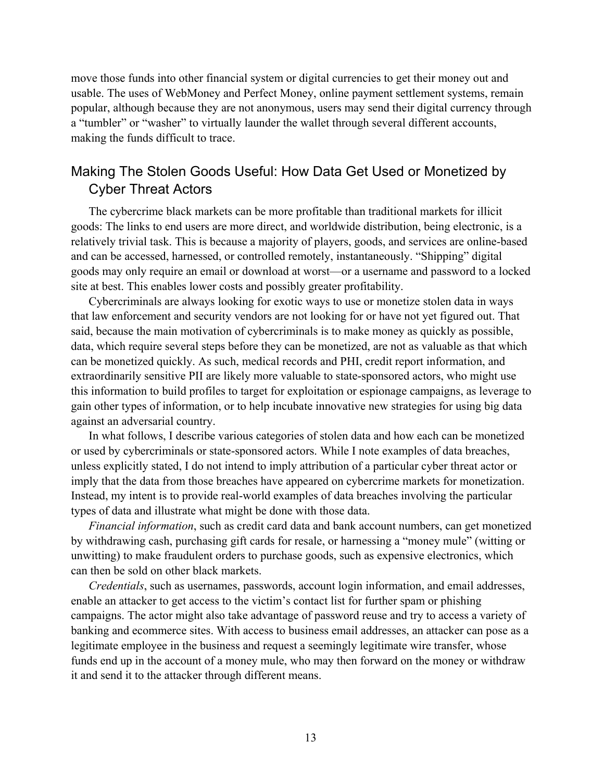move those funds into other financial system or digital currencies to get their money out and usable. The uses of WebMoney and Perfect Money, online payment settlement systems, remain popular, although because they are not anonymous, users may send their digital currency through a "tumbler" or "washer" to virtually launder the wallet through several different accounts, making the funds difficult to trace.

# Making The Stolen Goods Useful: How Data Get Used or Monetized by Cyber Threat Actors

The cybercrime black markets can be more profitable than traditional markets for illicit goods: The links to end users are more direct, and worldwide distribution, being electronic, is a relatively trivial task. This is because a majority of players, goods, and services are online-based and can be accessed, harnessed, or controlled remotely, instantaneously. "Shipping" digital goods may only require an email or download at worst—or a username and password to a locked site at best. This enables lower costs and possibly greater profitability.

Cybercriminals are always looking for exotic ways to use or monetize stolen data in ways that law enforcement and security vendors are not looking for or have not yet figured out. That said, because the main motivation of cybercriminals is to make money as quickly as possible, data, which require several steps before they can be monetized, are not as valuable as that which can be monetized quickly. As such, medical records and PHI, credit report information, and extraordinarily sensitive PII are likely more valuable to state-sponsored actors, who might use this information to build profiles to target for exploitation or espionage campaigns, as leverage to gain other types of information, or to help incubate innovative new strategies for using big data against an adversarial country.

In what follows, I describe various categories of stolen data and how each can be monetized or used by cybercriminals or state-sponsored actors. While I note examples of data breaches, unless explicitly stated, I do not intend to imply attribution of a particular cyber threat actor or imply that the data from those breaches have appeared on cybercrime markets for monetization. Instead, my intent is to provide real-world examples of data breaches involving the particular types of data and illustrate what might be done with those data.

*Financial information*, such as credit card data and bank account numbers, can get monetized by withdrawing cash, purchasing gift cards for resale, or harnessing a "money mule" (witting or unwitting) to make fraudulent orders to purchase goods, such as expensive electronics, which can then be sold on other black markets.

*Credentials*, such as usernames, passwords, account login information, and email addresses, enable an attacker to get access to the victim's contact list for further spam or phishing campaigns. The actor might also take advantage of password reuse and try to access a variety of banking and ecommerce sites. With access to business email addresses, an attacker can pose as a legitimate employee in the business and request a seemingly legitimate wire transfer, whose funds end up in the account of a money mule, who may then forward on the money or withdraw it and send it to the attacker through different means.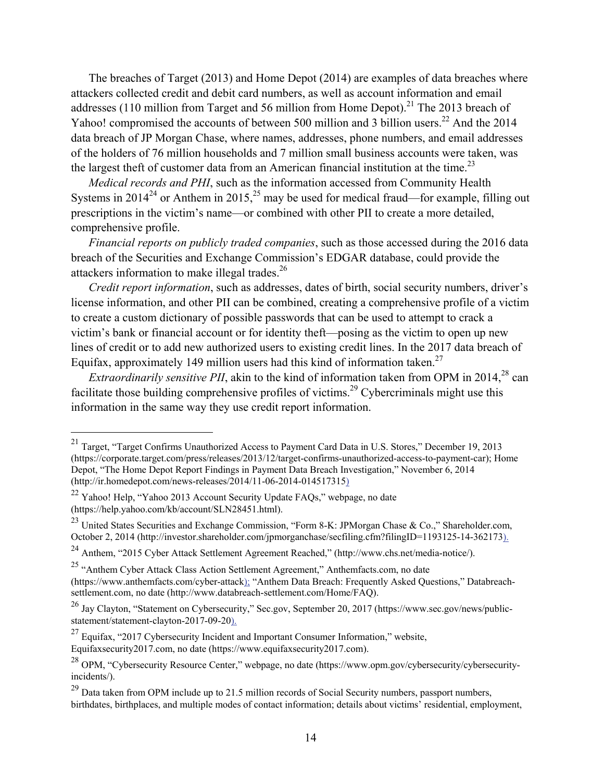The breaches of Target (2013) and Home Depot (2014) are examples of data breaches where attackers collected credit and debit card numbers, as well as account information and email addresses (110 million from Target and 56 million from Home Depot).<sup>21</sup> The 2013 breach of Yahoo! compromised the accounts of between 500 million and 3 billion users.<sup>22</sup> And the 2014 data breach of JP Morgan Chase, where names, addresses, phone numbers, and email addresses of the holders of 76 million households and 7 million small business accounts were taken, was the largest theft of customer data from an American financial institution at the time.<sup>23</sup>

*Medical records and PHI*, such as the information accessed from Community Health Systems in  $2014^{24}$  or Anthem in  $2015$ ,  $25$  may be used for medical fraud—for example, filling out prescriptions in the victim's name—or combined with other PII to create a more detailed, comprehensive profile.

*Financial reports on publicly traded companies*, such as those accessed during the 2016 data breach of the Securities and Exchange Commission's EDGAR database, could provide the attackers information to make illegal trades.<sup>26</sup>

*Credit report information*, such as addresses, dates of birth, social security numbers, driver's license information, and other PII can be combined, creating a comprehensive profile of a victim to create a custom dictionary of possible passwords that can be used to attempt to crack a victim's bank or financial account or for identity theft—posing as the victim to open up new lines of credit or to add new authorized users to existing credit lines. In the 2017 data breach of Equifax, approximately 149 million users had this kind of information taken.<sup>27</sup>

*Extraordinarily sensitive PII*, akin to the kind of information taken from OPM in 2014,<sup>28</sup> can facilitate those building comprehensive profiles of victims.<sup>29</sup> Cybercriminals might use this information in the same way they use credit report information.

<sup>&</sup>lt;sup>21</sup> Target, "Target Confirms Unauthorized Access to Payment Card Data in U.S. Stores," December 19, 2013 (https://corporate.target.com/press/releases/2013/12/target-confirms-unauthorized-access-to-payment-car); Home Depot, "The Home Depot Report Findings in Payment Data Breach Investigation," November 6, 2014 (http://ir.homedepot.com/news-releases/2014/11-06-2014-014517315)

<sup>&</sup>lt;sup>22</sup> Yahoo! Help, "Yahoo 2013 Account Security Update FAQs," webpage, no date (https://help.yahoo.com/kb/account/SLN28451.html).

<sup>23</sup> United States Securities and Exchange Commission, "Form 8-K: JPMorgan Chase & Co.," Shareholder.com, October 2, 2014 (http://investor.shareholder.com/jpmorganchase/secfiling.cfm?filingID=1193125-14-362173).

<sup>24</sup> Anthem, "2015 Cyber Attack Settlement Agreement Reached," (http://www.chs.net/media-notice/).

<sup>25 &</sup>quot;Anthem Cyber Attack Class Action Settlement Agreement," Anthemfacts.com, no date (https://www.anthemfacts.com/cyber-attack); "Anthem Data Breach: Frequently Asked Questions," Databreachsettlement.com, no date (http://www.databreach-settlement.com/Home/FAQ).

<sup>&</sup>lt;sup>26</sup> Jay Clayton, "Statement on Cybersecurity," Sec.gov, September 20, 2017 (https://www.sec.gov/news/publicstatement/statement-clayton-2017-09-20).

<sup>27</sup> Equifax, "2017 Cybersecurity Incident and Important Consumer Information," website, Equifaxsecurity2017.com, no date (https://www.equifaxsecurity2017.com).

<sup>28</sup> OPM, "Cybersecurity Resource Center," webpage, no date (https://www.opm.gov/cybersecurity/cybersecurityincidents/).

<sup>&</sup>lt;sup>29</sup> Data taken from OPM include up to 21.5 million records of Social Security numbers, passport numbers, birthdates, birthplaces, and multiple modes of contact information; details about victims' residential, employment,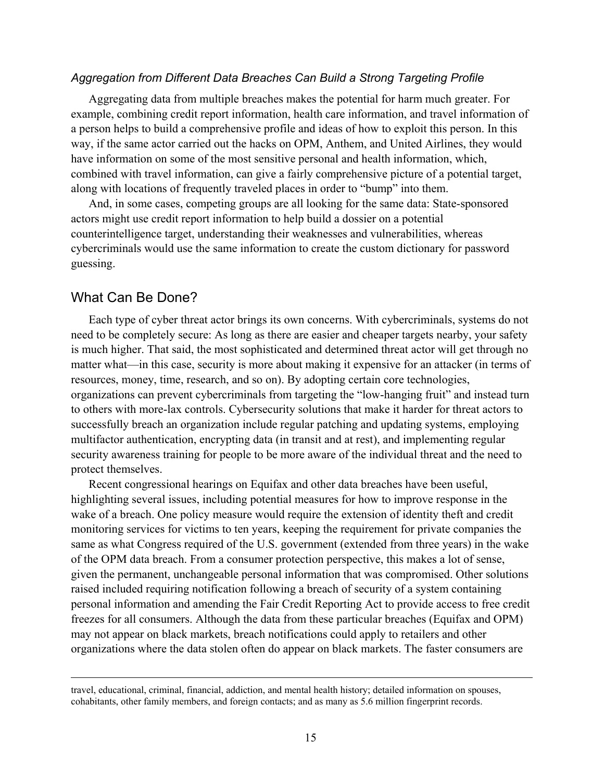## *Aggregation from Different Data Breaches Can Build a Strong Targeting Profile*

Aggregating data from multiple breaches makes the potential for harm much greater. For example, combining credit report information, health care information, and travel information of a person helps to build a comprehensive profile and ideas of how to exploit this person. In this way, if the same actor carried out the hacks on OPM, Anthem, and United Airlines, they would have information on some of the most sensitive personal and health information, which, combined with travel information, can give a fairly comprehensive picture of a potential target, along with locations of frequently traveled places in order to "bump" into them.

And, in some cases, competing groups are all looking for the same data: State-sponsored actors might use credit report information to help build a dossier on a potential counterintelligence target, understanding their weaknesses and vulnerabilities, whereas cybercriminals would use the same information to create the custom dictionary for password guessing.

# What Can Be Done?

 $\overline{a}$ 

Each type of cyber threat actor brings its own concerns. With cybercriminals, systems do not need to be completely secure: As long as there are easier and cheaper targets nearby, your safety is much higher. That said, the most sophisticated and determined threat actor will get through no matter what—in this case, security is more about making it expensive for an attacker (in terms of resources, money, time, research, and so on). By adopting certain core technologies, organizations can prevent cybercriminals from targeting the "low-hanging fruit" and instead turn to others with more-lax controls. Cybersecurity solutions that make it harder for threat actors to successfully breach an organization include regular patching and updating systems, employing multifactor authentication, encrypting data (in transit and at rest), and implementing regular security awareness training for people to be more aware of the individual threat and the need to protect themselves.

Recent congressional hearings on Equifax and other data breaches have been useful, highlighting several issues, including potential measures for how to improve response in the wake of a breach. One policy measure would require the extension of identity theft and credit monitoring services for victims to ten years, keeping the requirement for private companies the same as what Congress required of the U.S. government (extended from three years) in the wake of the OPM data breach. From a consumer protection perspective, this makes a lot of sense, given the permanent, unchangeable personal information that was compromised. Other solutions raised included requiring notification following a breach of security of a system containing personal information and amending the Fair Credit Reporting Act to provide access to free credit freezes for all consumers. Although the data from these particular breaches (Equifax and OPM) may not appear on black markets, breach notifications could apply to retailers and other organizations where the data stolen often do appear on black markets. The faster consumers are

travel, educational, criminal, financial, addiction, and mental health history; detailed information on spouses, cohabitants, other family members, and foreign contacts; and as many as 5.6 million fingerprint records.